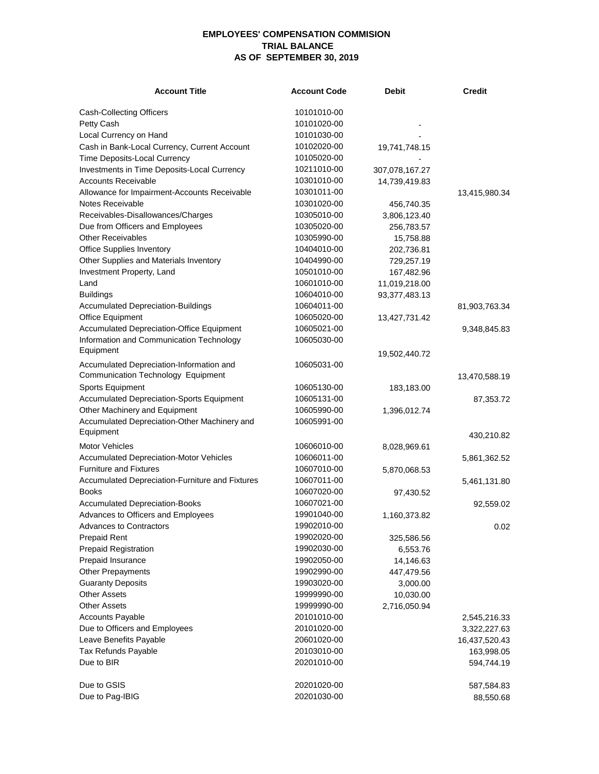## **EMPLOYEES' COMPENSATION COMMISION TRIAL BALANCE AS OF SEPTEMBER 30, 2019**

| <b>Account Title</b>                                      | <b>Account Code</b> | <b>Debit</b>   | <b>Credit</b> |
|-----------------------------------------------------------|---------------------|----------------|---------------|
| <b>Cash-Collecting Officers</b>                           | 10101010-00         |                |               |
| Petty Cash                                                | 10101020-00         |                |               |
| Local Currency on Hand                                    | 10101030-00         |                |               |
| Cash in Bank-Local Currency, Current Account              | 10102020-00         | 19,741,748.15  |               |
| Time Deposits-Local Currency                              | 10105020-00         |                |               |
| Investments in Time Deposits-Local Currency               | 10211010-00         | 307,078,167.27 |               |
| <b>Accounts Receivable</b>                                | 10301010-00         | 14,739,419.83  |               |
| Allowance for Impairment-Accounts Receivable              | 10301011-00         |                | 13,415,980.34 |
| Notes Receivable                                          | 10301020-00         | 456,740.35     |               |
| Receivables-Disallowances/Charges                         | 10305010-00         | 3,806,123.40   |               |
| Due from Officers and Employees                           | 10305020-00         | 256,783.57     |               |
| <b>Other Receivables</b>                                  | 10305990-00         | 15,758.88      |               |
| <b>Office Supplies Inventory</b>                          | 10404010-00         | 202,736.81     |               |
| Other Supplies and Materials Inventory                    | 10404990-00         | 729,257.19     |               |
| Investment Property, Land                                 | 10501010-00         | 167,482.96     |               |
| Land                                                      | 10601010-00         | 11,019,218.00  |               |
| <b>Buildings</b>                                          | 10604010-00         | 93,377,483.13  |               |
| <b>Accumulated Depreciation-Buildings</b>                 | 10604011-00         |                | 81,903,763.34 |
| Office Equipment                                          | 10605020-00         | 13,427,731.42  |               |
| Accumulated Depreciation-Office Equipment                 | 10605021-00         |                | 9,348,845.83  |
| Information and Communication Technology                  | 10605030-00         |                |               |
| Equipment                                                 |                     | 19,502,440.72  |               |
| Accumulated Depreciation-Information and                  | 10605031-00         |                |               |
| Communication Technology Equipment                        |                     |                | 13,470,588.19 |
| <b>Sports Equipment</b>                                   | 10605130-00         | 183,183.00     |               |
| <b>Accumulated Depreciation-Sports Equipment</b>          | 10605131-00         |                | 87,353.72     |
| Other Machinery and Equipment                             | 10605990-00         | 1,396,012.74   |               |
| Accumulated Depreciation-Other Machinery and<br>Equipment | 10605991-00         |                |               |
| <b>Motor Vehicles</b>                                     | 10606010-00         |                | 430,210.82    |
| <b>Accumulated Depreciation-Motor Vehicles</b>            | 10606011-00         | 8,028,969.61   |               |
| <b>Furniture and Fixtures</b>                             | 10607010-00         |                | 5,861,362.52  |
| Accumulated Depreciation-Furniture and Fixtures           | 10607011-00         | 5,870,068.53   |               |
| <b>Books</b>                                              | 10607020-00         |                | 5,461,131.80  |
| <b>Accumulated Depreciation-Books</b>                     | 10607021-00         | 97,430.52      |               |
| Advances to Officers and Employees                        | 19901040-00         |                | 92,559.02     |
| <b>Advances to Contractors</b>                            | 19902010-00         | 1,160,373.82   | 0.02          |
| <b>Prepaid Rent</b>                                       | 19902020-00         | 325,586.56     |               |
| <b>Prepaid Registration</b>                               | 19902030-00         | 6,553.76       |               |
| Prepaid Insurance                                         | 19902050-00         | 14,146.63      |               |
| <b>Other Prepayments</b>                                  | 19902990-00         | 447,479.56     |               |
| <b>Guaranty Deposits</b>                                  | 19903020-00         | 3,000.00       |               |
| <b>Other Assets</b>                                       | 19999990-00         | 10,030.00      |               |
| <b>Other Assets</b>                                       | 19999990-00         | 2,716,050.94   |               |
| <b>Accounts Payable</b>                                   | 20101010-00         |                | 2,545,216.33  |
| Due to Officers and Employees                             | 20101020-00         |                | 3,322,227.63  |
| Leave Benefits Payable                                    | 20601020-00         |                | 16,437,520.43 |
| Tax Refunds Payable                                       | 20103010-00         |                | 163,998.05    |
| Due to BIR                                                | 20201010-00         |                | 594,744.19    |
|                                                           |                     |                |               |
| Due to GSIS                                               | 20201020-00         |                | 587,584.83    |
| Due to Pag-IBIG                                           | 20201030-00         |                | 88,550.68     |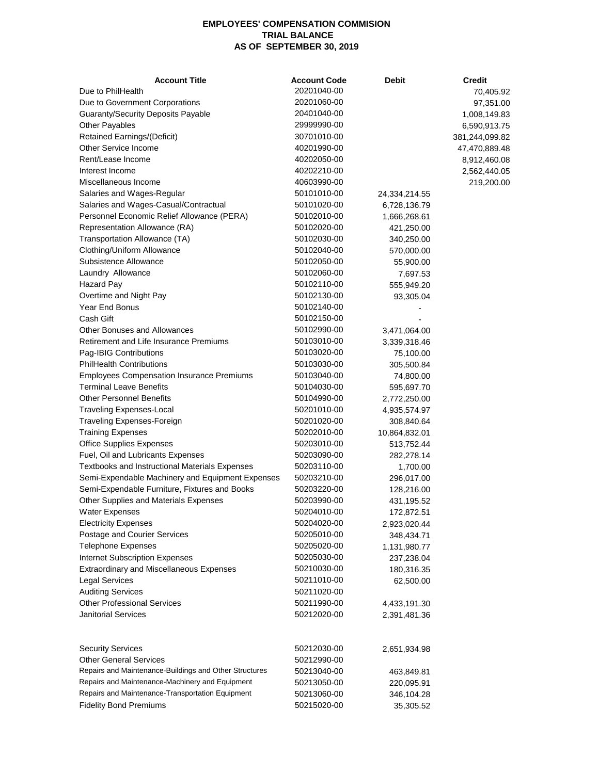## **EMPLOYEES' COMPENSATION COMMISION TRIAL BALANCE AS OF SEPTEMBER 30, 2019**

| <b>Account Title</b>                                   | <b>Account Code</b> | <b>Debit</b>  | <b>Credit</b>  |
|--------------------------------------------------------|---------------------|---------------|----------------|
| Due to PhilHealth                                      | 20201040-00         |               | 70,405.92      |
| Due to Government Corporations                         | 20201060-00         |               | 97,351.00      |
| <b>Guaranty/Security Deposits Payable</b>              | 20401040-00         |               | 1,008,149.83   |
| <b>Other Payables</b>                                  | 29999990-00         |               | 6,590,913.75   |
| <b>Retained Earnings/(Deficit)</b>                     | 30701010-00         |               | 381,244,099.82 |
| Other Service Income                                   | 40201990-00         |               | 47,470,889.48  |
| Rent/Lease Income                                      | 40202050-00         |               | 8,912,460.08   |
| Interest Income                                        | 40202210-00         |               | 2,562,440.05   |
| Miscellaneous Income                                   | 40603990-00         |               | 219,200.00     |
| Salaries and Wages-Regular                             | 50101010-00         | 24,334,214.55 |                |
| Salaries and Wages-Casual/Contractual                  | 50101020-00         | 6,728,136.79  |                |
| Personnel Economic Relief Allowance (PERA)             | 50102010-00         | 1,666,268.61  |                |
| Representation Allowance (RA)                          | 50102020-00         | 421,250.00    |                |
| Transportation Allowance (TA)                          | 50102030-00         | 340,250.00    |                |
| Clothing/Uniform Allowance                             | 50102040-00         | 570,000.00    |                |
| Subsistence Allowance                                  | 50102050-00         | 55,900.00     |                |
| Laundry Allowance                                      | 50102060-00         | 7,697.53      |                |
| <b>Hazard Pay</b>                                      | 50102110-00         | 555,949.20    |                |
| Overtime and Night Pay                                 | 50102130-00         | 93,305.04     |                |
| Year End Bonus                                         | 50102140-00         |               |                |
| Cash Gift                                              | 50102150-00         |               |                |
| Other Bonuses and Allowances                           | 50102990-00         | 3,471,064.00  |                |
| Retirement and Life Insurance Premiums                 | 50103010-00         | 3,339,318.46  |                |
| Pag-IBIG Contributions                                 | 50103020-00         | 75,100.00     |                |
| <b>PhilHealth Contributions</b>                        | 50103030-00         | 305,500.84    |                |
| <b>Employees Compensation Insurance Premiums</b>       | 50103040-00         | 74,800.00     |                |
| <b>Terminal Leave Benefits</b>                         | 50104030-00         | 595,697.70    |                |
| <b>Other Personnel Benefits</b>                        | 50104990-00         | 2,772,250.00  |                |
| <b>Traveling Expenses-Local</b>                        | 50201010-00         | 4,935,574.97  |                |
| Traveling Expenses-Foreign                             | 50201020-00         | 308,840.64    |                |
| <b>Training Expenses</b>                               | 50202010-00         | 10,864,832.01 |                |
| <b>Office Supplies Expenses</b>                        | 50203010-00         | 513,752.44    |                |
| Fuel, Oil and Lubricants Expenses                      | 50203090-00         | 282,278.14    |                |
| Textbooks and Instructional Materials Expenses         | 50203110-00         | 1,700.00      |                |
| Semi-Expendable Machinery and Equipment Expenses       | 50203210-00         | 296,017.00    |                |
| Semi-Expendable Furniture, Fixtures and Books          | 50203220-00         | 128,216.00    |                |
| Other Supplies and Materials Expenses                  | 50203990-00         | 431,195.52    |                |
| <b>Water Expenses</b>                                  | 50204010-00         | 172,872.51    |                |
| <b>Electricity Expenses</b>                            | 50204020-00         | 2,923,020.44  |                |
| Postage and Courier Services                           | 50205010-00         | 348,434.71    |                |
| <b>Telephone Expenses</b>                              | 50205020-00         | 1,131,980.77  |                |
| <b>Internet Subscription Expenses</b>                  | 50205030-00         | 237,238.04    |                |
| <b>Extraordinary and Miscellaneous Expenses</b>        | 50210030-00         | 180,316.35    |                |
| <b>Legal Services</b>                                  | 50211010-00         | 62,500.00     |                |
| <b>Auditing Services</b>                               | 50211020-00         |               |                |
| <b>Other Professional Services</b>                     | 50211990-00         | 4,433,191.30  |                |
| <b>Janitorial Services</b>                             | 50212020-00         | 2,391,481.36  |                |
| <b>Security Services</b>                               | 50212030-00         | 2,651,934.98  |                |
| <b>Other General Services</b>                          | 50212990-00         |               |                |
| Repairs and Maintenance-Buildings and Other Structures | 50213040-00         | 463,849.81    |                |
| Repairs and Maintenance-Machinery and Equipment        | 50213050-00         | 220,095.91    |                |
| Repairs and Maintenance-Transportation Equipment       | 50213060-00         | 346,104.28    |                |
| <b>Fidelity Bond Premiums</b>                          | 50215020-00         | 35,305.52     |                |